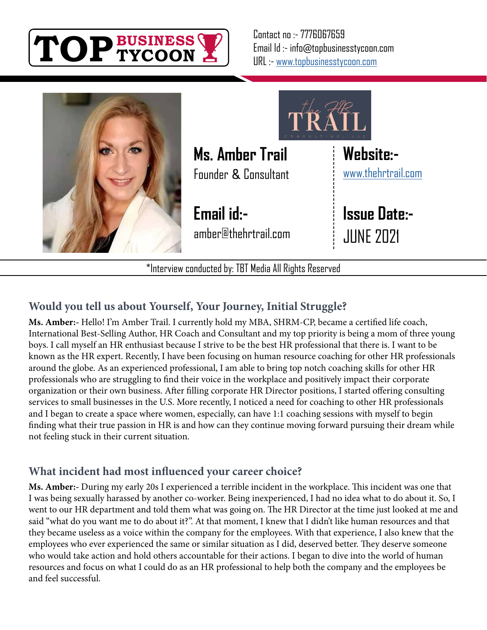

Contact no :- 7776067659 Email Id :- info@topbusinesstycoon.com URL :- [www.topbusinesstycoon.com](https://www.topbusinesstycoon.com/)





**Ms. Amber Trail** Founder **&** Consultant

**Email id:** amber@thehrtrail.com

**Website:** [www.thehrtrail.com](http://www.thehrtrail.com)

**Issue Date:-** JUNE 2021

\*Interview conducted by: TBT Media All Rights Reserved

# **Would you tell us about Yourself, Your Journey, Initial Struggle?**

**Ms. Amber:-** Hello! I'm Amber Trail. I currently hold my MBA, SHRM-CP, became a certified life coach, International Best-Selling Author, HR Coach and Consultant and my top priority is being a mom of three young boys. I call myself an HR enthusiast because I strive to be the best HR professional that there is. I want to be known as the HR expert. Recently, I have been focusing on human resource coaching for other HR professionals around the globe. As an experienced professional, I am able to bring top notch coaching skills for other HR professionals who are struggling to find their voice in the workplace and positively impact their corporate organization or their own business. After filling corporate HR Director positions, I started offering consulting services to small businesses in the U.S. More recently, I noticed a need for coaching to other HR professionals and I began to create a space where women, especially, can have 1:1 coaching sessions with myself to begin finding what their true passion in HR is and how can they continue moving forward pursuing their dream while not feeling stuck in their current situation.

# **What incident had most influenced your career choice?**

**Ms. Amber:-** During my early 20s I experienced a terrible incident in the workplace. This incident was one that I was being sexually harassed by another co-worker. Being inexperienced, I had no idea what to do about it. So, I went to our HR department and told them what was going on. The HR Director at the time just looked at me and said "what do you want me to do about it?". At that moment, I knew that I didn't like human resources and that they became useless as a voice within the company for the employees. With that experience, I also knew that the employees who ever experienced the same or similar situation as I did, deserved better. They deserve someone who would take action and hold others accountable for their actions. I began to dive into the world of human resources and focus on what I could do as an HR professional to help both the company and the employees be and feel successful.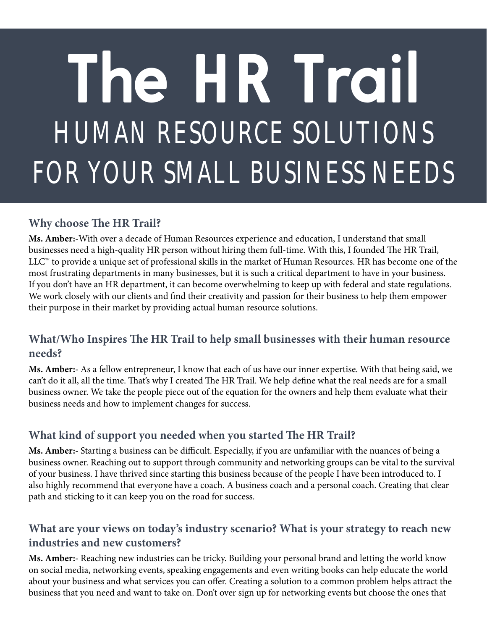# HUMAN RESOURCE SOLUTIONS FOR YOUR SMALL BUSINESS NEEDS **The HR Trail**

#### **Why choose The HR Trail?**

**Ms. Amber:-**With over a decade of Human Resources experience and education, I understand that small businesses need a high-quality HR person without hiring them full-time. With this, I founded The HR Trail, LLC™ to provide a unique set of professional skills in the market of Human Resources. HR has become one of the most frustrating departments in many businesses, but it is such a critical department to have in your business. If you don't have an HR department, it can become overwhelming to keep up with federal and state regulations. We work closely with our clients and find their creativity and passion for their business to help them empower their purpose in their market by providing actual human resource solutions.

#### **What/Who Inspires The HR Trail to help small businesses with their human resource needs?**

**Ms. Amber:-** As a fellow entrepreneur, I know that each of us have our inner expertise. With that being said, we can't do it all, all the time. That's why I created The HR Trail. We help define what the real needs are for a small business owner. We take the people piece out of the equation for the owners and help them evaluate what their business needs and how to implement changes for success.

# **What kind of support you needed when you started The HR Trail?**

**Ms. Amber:-** Starting a business can be difficult. Especially, if you are unfamiliar with the nuances of being a business owner. Reaching out to support through community and networking groups can be vital to the survival of your business. I have thrived since starting this business because of the people I have been introduced to. I also highly recommend that everyone have a coach. A business coach and a personal coach. Creating that clear path and sticking to it can keep you on the road for success.

#### **What are your views on today's industry scenario? What is your strategy to reach new industries and new customers?**

**Ms. Amber:-** Reaching new industries can be tricky. Building your personal brand and letting the world know on social media, networking events, speaking engagements and even writing books can help educate the world about your business and what services you can offer. Creating a solution to a common problem helps attract the business that you need and want to take on. Don't over sign up for networking events but choose the ones that